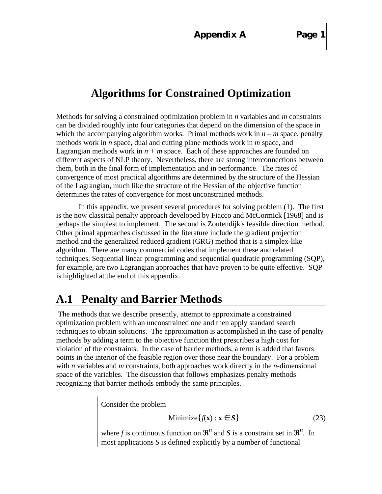**Appendix A Page 1**

# **Algorithms for Constrained Optimization**

Methods for solving a constrained optimization problem in *n* variables and *m* constraints can be divided roughly into four categories that depend on the dimension of the space in which the accompanying algorithm works. Primal methods work in  $n - m$  space, penalty methods work in *n* space, dual and cutting plane methods work in *m* space, and Lagrangian methods work in  $n + m$  space. Each of these approaches are founded on different aspects of NLP theory. Nevertheless, there are strong interconnections between them, both in the final form of implementation and in performance. The rates of convergence of most practical algorithms are determined by the structure of the Hessian of the Lagrangian, much like the structure of the Hessian of the objective function determines the rates of convergence for most unconstrained methods.

In this appendix, we present several procedures for solving problem (1). The first is the now classical penalty approach developed by Fiacco and McCormick [1968] and is perhaps the simplest to implement. The second is Zoutendijk's feasible direction method. Other primal approaches discussed in the literature include the gradient projection method and the generalized reduced gradient (GRG) method that is a simplex-like algorithm. There are many commercial codes that implement these and related techniques. Sequential linear programming and sequential quadratic programming (SQP), for example, are two Lagrangian approaches that have proven to be quite effective. SQP is highlighted at the end of this appendix.

# **A.1 Penalty and Barrier Methods**

 The methods that we describe presently, attempt to approximate a constrained optimization problem with an unconstrained one and then apply standard search techniques to obtain solutions. The approximation is accomplished in the case of penalty methods by adding a term to the objective function that prescribes a high cost for violation of the constraints. In the case of barrier methods, a term is added that favors points in the interior of the feasible region over those near the boundary. For a problem with *n* variables and *m* constraints, both approaches work directly in the *n*-dimensional space of the variables. The discussion that follows emphasizes penalty methods recognizing that barrier methods embody the same principles.

Consider the problem

$$
Minimize \{f(\mathbf{x}) : \mathbf{x} \quad S\}
$$
 (23)

where f is continuous function on  $n$  and S is a constraint set in  $n$ . In most applications *S* is defined explicitly by a number of functional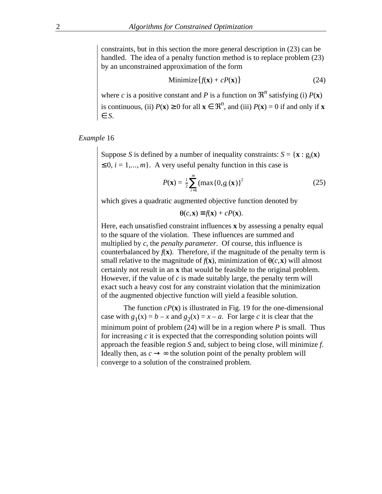constraints, but in this section the more general description in (23) can be handled. The idea of a penalty function method is to replace problem (23) by an unconstrained approximation of the form

$$
Minimize \{f(\mathbf{x}) + cP(\mathbf{x})\}
$$
 (24)

where *c* is a positive constant and *P* is a function on  $n^2$  satisfying (i)  $P(\mathbf{x})$ is continuous, (ii)  $P(\mathbf{x})$  0 for all **x**  $n^{\prime}$ , and (iii)  $P(\mathbf{x}) = 0$  if and only if **x** *S*.

*Example* 16

Suppose *S* is defined by a number of inequality constraints:  $S = {\mathbf{x} : g_i(\mathbf{x})}$  $0, i = 1,..., m$ . A very useful penalty function in this case is

$$
P(\mathbf{x}) = \frac{1}{2} \max_{i=1}^{m} (\max\{0, g_i(\mathbf{x})\})^2
$$
 (25)

which gives a quadratic augmented objective function denoted by

 $\theta(c, \mathbf{x})$   $f(\mathbf{x}) + cP(\mathbf{x}).$ 

Here, each unsatisfied constraint influences **x** by assessing a penalty equal to the square of the violation. These influences are summed and multiplied by *c*, the *penalty parameter*. Of course, this influence is counterbalanced by  $f(\mathbf{x})$ . Therefore, if the magnitude of the penalty term is small relative to the magnitude of  $f(\mathbf{x})$ , minimization of  $\theta(c, \mathbf{x})$  will almost certainly not result in an **x** that would be feasible to the original problem. However, if the value of *c* is made suitably large, the penalty term will exact such a heavy cost for any constraint violation that the minimization of the augmented objective function will yield a feasible solution.

The function  $cP(\mathbf{x})$  is illustrated in Fig. 19 for the one-dimensional case with  $g_1(x) = b - x$  and  $g_2(x) = x - a$ . For large *c* it is clear that the minimum point of problem (24) will be in a region where *P* is small. Thus for increasing *c* it is expected that the corresponding solution points will approach the feasible region *S* and, subject to being close, will minimize *f*. Ideally then, as *c* → ∞ the solution point of the penalty problem will converge to a solution of the constrained problem.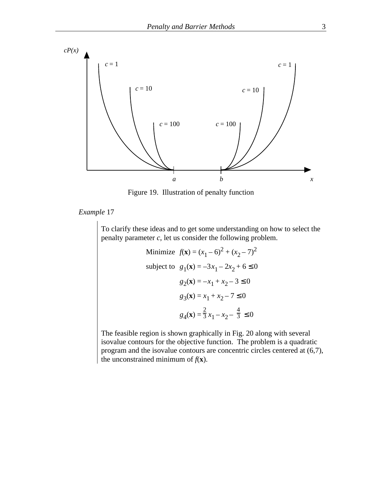

Figure 19. Illustration of penalty function

*Example* 17

To clarify these ideas and to get some understanding on how to select the penalty parameter *c*, let us consider the following problem.

Minimize 
$$
f(\mathbf{x}) = (x_1 - 6)^2 + (x_2 - 7)^2
$$
  
\nsubject to  $g_1(\mathbf{x}) = -3x_1 - 2x_2 + 6 = 0$   
\n $g_2(\mathbf{x}) = -x_1 + x_2 - 3 = 0$   
\n $g_3(\mathbf{x}) = x_1 + x_2 - 7 = 0$   
\n $g_4(\mathbf{x}) = \frac{2}{3}x_1 - x_2 - \frac{4}{3} = 0$ 

The feasible region is shown graphically in Fig. 20 along with several isovalue contours for the objective function. The problem is a quadratic program and the isovalue contours are concentric circles centered at (6,7), the unconstrained minimum of  $f(\mathbf{x})$ .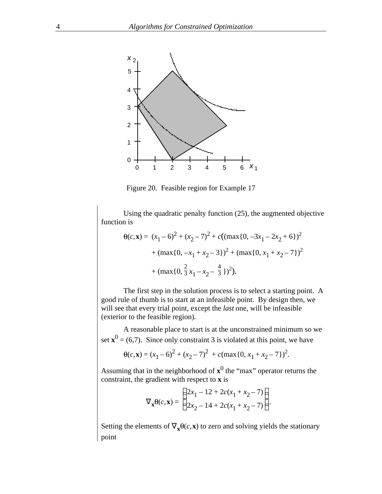

Figure 20. Feasible region for Example 17

Using the quadratic penalty function (25), the augmented objective function is

$$
\theta(c, \mathbf{x}) = (x_1 - 6)^2 + (x_2 - 7)^2 + c((\max\{0, -3x_1 - 2x_2 + 6\})^2
$$

$$
+ (\max\{0, -x_1 + x_2 - 3\})^2 + (\max\{0, x_1 + x_2 - 7\})^2
$$

$$
+ (\max\{0, \frac{2}{3}x_1 - x_2 - \frac{4}{3}\})^2).
$$

The first step in the solution process is to select a starting point. A good rule of thumb is to start at an infeasible point. By design then, we will see that every trial point, except the *last* one, will be infeasible (exterior to the feasible region).

A reasonable place to start is at the unconstrained minimum so we set  $\mathbf{x}^0 = (6,7)$ . Since only constraint 3 is violated at this point, we have

$$
\Theta(c, \mathbf{x}) = (x_1 - 6)^2 + (x_2 - 7)^2 + c(\max\{0, x_1 + x_2 - 7\})^2.
$$

Assuming that in the neighborhood of  $x^0$  the "max" operator returns the constraint, the gradient with respect to **x** is

$$
\mathbf{x}^{\Theta(c,\mathbf{x})} = \begin{cases} 2x_1 - 12 + 2c(x_1 + x_2 - 7) \\ 2x_2 - 14 + 2c(x_1 + x_2 - 7) \end{cases}.
$$

Setting the elements of  $\mathbf{x}^{\Theta}(c, \mathbf{x})$  to zero and solving yields the stationary point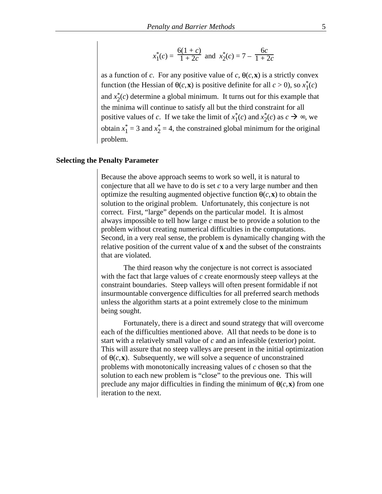$$
x_1^*(c) = \frac{6(1+c)}{1+2c}
$$
 and  $x_2^*(c) = 7 - \frac{6c}{1+2c}$ 

as a function of *c*. For any positive value of *c*,  $\theta(c, \mathbf{x})$  is a strictly convex function (the Hessian of  $\theta(c, \mathbf{x})$  is positive definite for all  $c > 0$ ), so  $x_1^*(c)$ and  $x_2^*(c)$  determine a global minimum. It turns out for this example that the minima will continue to satisfy all but the third constraint for all positive values of *c*. If we take the limit of  $x_1^*(c)$  and  $x_2^*(c)$  as  $c \rightarrow \infty$ , we obtain  $x_1^* = 3$  and  $x_2^* = 4$ , the constrained global minimum for the original problem.

#### **Selecting the Penalty Parameter**

Because the above approach seems to work so well, it is natural to conjecture that all we have to do is set *c* to a very large number and then optimize the resulting augmented objective function  $\theta(c, \mathbf{x})$  to obtain the solution to the original problem. Unfortunately, this conjecture is not correct. First, "large" depends on the particular model. It is almost always impossible to tell how large *c* must be to provide a solution to the problem without creating numerical difficulties in the computations. Second, in a very real sense, the problem is dynamically changing with the relative position of the current value of **x** and the subset of the constraints that are violated.

The third reason why the conjecture is not correct is associated with the fact that large values of *c* create enormously steep valleys at the constraint boundaries. Steep valleys will often present formidable if not insurmountable convergence difficulties for all preferred search methods unless the algorithm starts at a point extremely close to the minimum being sought.

Fortunately, there is a direct and sound strategy that will overcome each of the difficulties mentioned above. All that needs to be done is to start with a relatively small value of *c* and an infeasible (exterior) point. This will assure that no steep valleys are present in the initial optimization of  $\theta(c, \mathbf{x})$ . Subsequently, we will solve a sequence of unconstrained problems with monotonically increasing values of *c* chosen so that the solution to each new problem is "close" to the previous one. This will preclude any major difficulties in finding the minimum of  $\theta(c, \mathbf{x})$  from one iteration to the next.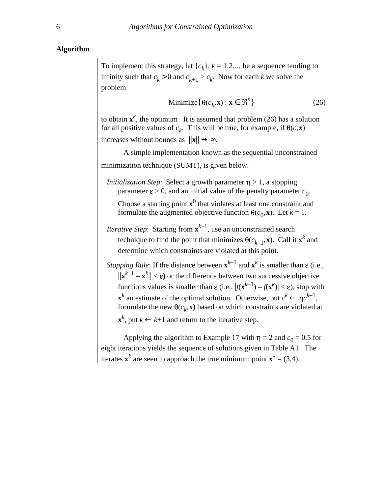#### **Algorithm**

To implement this strategy, let  $\{c_k\}$ ,  $k = 1, 2, \dots$  be a sequence tending to infinity such that  $c_k > 0$  and  $c_{k+1} > c_k$ . Now for each *k* we solve the problem

Minimize 
$$
\{ \theta(c_k, \mathbf{x}) : \mathbf{x} \quad n \}
$$
 (26)

to obtain  $\mathbf{x}^k$ , the optimum It is assumed that problem (26) has a solution for all positive values of  $c_k$ . This will be true, for example, if  $\theta(c, \mathbf{x})$ 

increases without bounds as  $||\mathbf{x}||$ 

A simple implementation known as the sequential unconstrained minimization technique (SUMT), is given below.

*Initialization Step*: Select a growth parameter  $\eta > 1$ , a stopping parameter  $\varepsilon > 0$ , and an initial value of the penalty parameter  $c_0$ . Choose a starting point  $\mathbf{x}^0$  that violates at least one constraint and

formulate the augmented objective function  $\theta(c_0, \mathbf{x})$ . Let  $k = 1$ .

*Iterative Step*: Starting from **x** *<sup>k</sup>*–1, use an unconstrained search technique to find the point that minimizes  $\theta(c_{k-1}, \mathbf{x})$ . Call it  $\mathbf{x}^k$  and determine which constraints are violated at this point.

*Stopping Rule*: If the distance between  $\mathbf{x}^{k-1}$  and  $\mathbf{x}^k$  is smaller than  $\varepsilon$  (i.e.,  $||\mathbf{x}^{k-1} - \mathbf{x}^{k}|| < \varepsilon$  or the difference between two successive objective functions values is smaller than  $\varepsilon$  (i.e.,  $|f(\mathbf{x}^{k-1}) - f(\mathbf{x}^k)| < \varepsilon$ ), stop with  $\mathbf{x}^k$  an estimate of the optimal solution. Otherwise, put  $c^k$  $c^{k-1}$ , formulate the new  $\theta(c_k, \mathbf{x})$  based on which constraints are violated at

**x** *k*  $k+1$  and return to the iterative step.

Applying the algorithm to Example 17 with  $\eta = 2$  and  $c_0 = 0.5$  for eight iterations yields the sequence of solutions given in Table A1. The iterates  $\mathbf{x}^k$  are seen to approach the true minimum point  $\mathbf{x}^* = (3, 4)$ .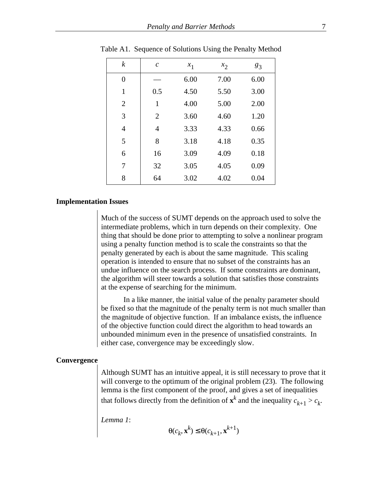| $\boldsymbol{k}$ | $\mathcal{C}_{0}^{0}$ | $x_1$ | $x_2$ | $g_3$ |
|------------------|-----------------------|-------|-------|-------|
| $\overline{0}$   |                       | 6.00  | 7.00  | 6.00  |
| $\mathbf{1}$     | 0.5                   | 4.50  | 5.50  | 3.00  |
| $\overline{2}$   | 1                     | 4.00  | 5.00  | 2.00  |
| 3                | $\overline{2}$        | 3.60  | 4.60  | 1.20  |
| $\overline{4}$   | $\overline{4}$        | 3.33  | 4.33  | 0.66  |
| 5                | 8                     | 3.18  | 4.18  | 0.35  |
| 6                | 16                    | 3.09  | 4.09  | 0.18  |
| 7                | 32                    | 3.05  | 4.05  | 0.09  |
| 8                | 64                    | 3.02  | 4.02  | 0.04  |

Table A1. Sequence of Solutions Using the Penalty Method

#### **Implementation Issues**

Much of the success of SUMT depends on the approach used to solve the intermediate problems, which in turn depends on their complexity. One thing that should be done prior to attempting to solve a nonlinear program using a penalty function method is to scale the constraints so that the penalty generated by each is about the same magnitude. This scaling operation is intended to ensure that no subset of the constraints has an undue influence on the search process. If some constraints are dominant, the algorithm will steer towards a solution that satisfies those constraints at the expense of searching for the minimum.

In a like manner, the initial value of the penalty parameter should be fixed so that the magnitude of the penalty term is not much smaller than the magnitude of objective function. If an imbalance exists, the influence of the objective function could direct the algorithm to head towards an unbounded minimum even in the presence of unsatisfied constraints. In either case, convergence may be exceedingly slow.

#### **Convergence**

Although SUMT has an intuitive appeal, it is still necessary to prove that it will converge to the optimum of the original problem  $(23)$ . The following lemma is the first component of the proof, and gives a set of inequalities that follows directly from the definition of  $\mathbf{x}^k$  and the inequality  $c_{k+1} > c_k$ .

*Lemma 1*:

 $(c_k, \mathbf{x}^k) \quad \theta(c_{k+1}, \mathbf{x}^{k+1})$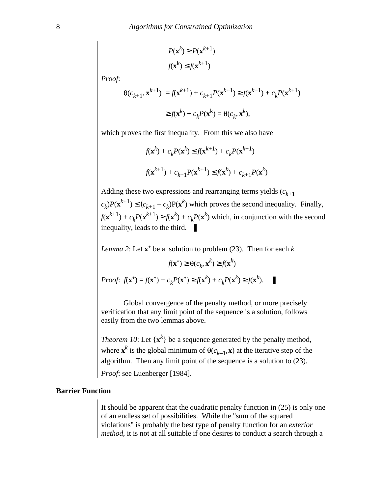$$
P(\mathbf{x}^k) \quad P(\mathbf{x}^{k+1})
$$

$$
f(\mathbf{x}^k) \quad f(\mathbf{x}^{k+1})
$$

*Proof*:

$$
\Theta(c_{k+1}, \mathbf{x}^{k+1}) = f(\mathbf{x}^{k+1}) + c_{k+1} P(\mathbf{x}^{k+1}) \quad f(\mathbf{x}^{k+1}) + c_k P(\mathbf{x}^{k+1})
$$

$$
f(\mathbf{x}^k) + c_k P(\mathbf{x}^k) = \Theta(c_k, \mathbf{x}^k),
$$

which proves the first inequality. From this we also have

$$
f(\mathbf{x}^{k}) + c_{k}P(\mathbf{x}^{k}) \quad f(\mathbf{x}^{k+1}) + c_{k}P(\mathbf{x}^{k+1})
$$

$$
f(\mathbf{x}^{k+1}) + c_{k+1}P(\mathbf{x}^{k+1}) \quad f(\mathbf{x}^{k}) + c_{k+1}P(\mathbf{x}^{k})
$$

Adding these two expressions and rearranging terms yields  $(c_{k+1}$  $c_k P(\mathbf{x}^{k+1})$   $\pmb{\phi}_{k+1} - c_k P(\mathbf{x}^k)$  which proves the second inequality. Finally,  $f(\mathbf{x}^{k+1}) + c_k P(\mathbf{x}^{k+1})$   $f(\mathbf{x}^k) + c_k P(\mathbf{x}^k)$  which, in conjunction with the second inequality, leads to the third.  $\blacksquare$ 

Lemma 2: Let 
$$
\mathbf{x}^*
$$
 be a solution to problem (23). Then for each  $k$   
\n $f(\mathbf{x}^*)$   $\theta(c_k, \mathbf{x}^k)$   $f(\mathbf{x}^k)$   
\n*Proof:*  $f(\mathbf{x}^*) = f(\mathbf{x}^*) + c_k P(\mathbf{x}^*)$   $f(\mathbf{x}^k) + c_k P(\mathbf{x}^k)$   $f(\mathbf{x}^k)$ .

Global convergence of the penalty method, or more precisely verification that any limit point of the sequence is a solution, follows easily from the two lemmas above.

*Theorem 10*: Let  $\{x^k\}$  be a sequence generated by the penalty method, where  $\mathbf{x}^k$  is the global minimum of  $\theta(c_{k-1}, \mathbf{x})$  at the iterative step of the algorithm. Then any limit point of the sequence is a solution to (23). *Proof*: see Luenberger [1984].

### **Barrier Function**

It should be apparent that the quadratic penalty function in (25) is only one of an endless set of possibilities. While the "sum of the squared violations" is probably the best type of penalty function for an *exterior method*, it is not at all suitable if one desires to conduct a search through a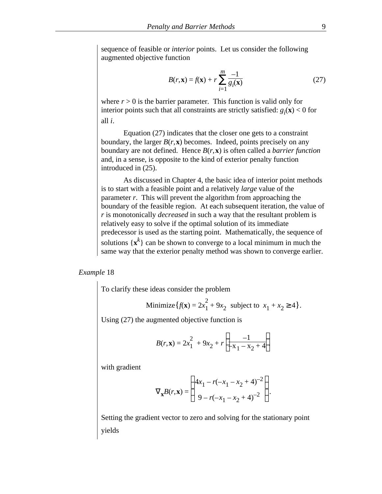sequence of feasible or *interior* points. Let us consider the following augmented objective function

$$
B(r, \mathbf{x}) = f(\mathbf{x}) + r \sum_{i=1}^{m} \frac{-1}{g_i(\mathbf{x})}
$$
 (27)

where  $r > 0$  is the barrier parameter. This function is valid only for interior points such that all constraints are strictly satisfied:  $g_i(\mathbf{x}) < 0$  for all *i*.

Equation (27) indicates that the closer one gets to a constraint boundary, the larger  $B(r, x)$  becomes. Indeed, points precisely on any boundary are not defined. Hence *B*(*r*,**x**) is often called a *barrier function* and, in a sense, is opposite to the kind of exterior penalty function introduced in (25).

As discussed in Chapter 4, the basic idea of interior point methods is to start with a feasible point and a relatively *large* value of the parameter *r*. This will prevent the algorithm from approaching the boundary of the feasible region. At each subsequent iteration, the value of *r* is monotonically *decreased* in such a way that the resultant problem is relatively easy to solve if the optimal solution of its immediate predecessor is used as the starting point. Mathematically, the sequence of solutions  $\{x^k\}$  can be shown to converge to a local minimum in much the same way that the exterior penalty method was shown to converge earlier.

#### *Example* 18

To clarify these ideas consider the problem

Minimize 
$$
\{f(\mathbf{x}) = 2x_1^2 + 9x_2 \text{ subject to } x_1 + x_2 \quad 4\}.
$$

Using (27) the augmented objective function is

$$
B(r, \mathbf{x}) = 2x_1^2 + 9x_2 + r \frac{-1}{-x_1 - x_2 + 4}.
$$

with gradient

$$
x^{B(r, x)} = \frac{4x_1 - r(-x_1 - x_2 + 4)^{-2}}{9 - r(-x_1 - x_2 + 4)^{-2}}.
$$

Setting the gradient vector to zero and solving for the stationary point yields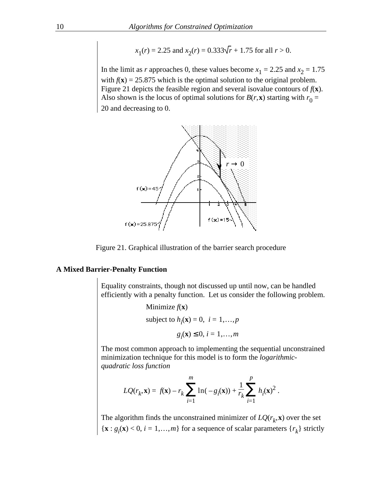$$
x_1(r) = 2.25
$$
 and  $x_2(r) = 0.333\sqrt{r} + 1.75$  for all  $r > 0$ .

In the limit as *r* approaches 0, these values become  $x_1 = 2.25$  and  $x_2 = 1.75$ with  $f(\mathbf{x}) = 25.875$  which is the optimal solution to the original problem. Figure 21 depicts the feasible region and several isovalue contours of  $f(\mathbf{x})$ . Also shown is the locus of optimal solutions for  $B(r, \mathbf{x})$  starting with  $r_0 =$ 20 and decreasing to 0.



Figure 21. Graphical illustration of the barrier search procedure

#### **A Mixed Barrier-Penalty Function**

Equality constraints, though not discussed up until now, can be handled efficiently with a penalty function. Let us consider the following problem.

> Minimize  $f(\mathbf{x})$ subject to  $h_i(\mathbf{x}) = 0$ ,  $i = 1,...,p$

$$
g_i(\mathbf{x}) \quad 0, i = 1, \dots, m
$$

The most common approach to implementing the sequential unconstrained minimization technique for this model is to form the *logarithmicquadratic loss function*

$$
LQ(r_k, \mathbf{x}) = f(\mathbf{x}) - r_k \ln(-g_i(\mathbf{x})) + \frac{1}{r_k} \int_{i=1}^p h_i(\mathbf{x})^2.
$$

The algorithm finds the unconstrained minimizer of  $LQ(r_k, \mathbf{x})$  over the set  ${\bf x}: g_i({\bf x}) < 0, i = 1,...,m$  for a sequence of scalar parameters  $\{r_k\}$  strictly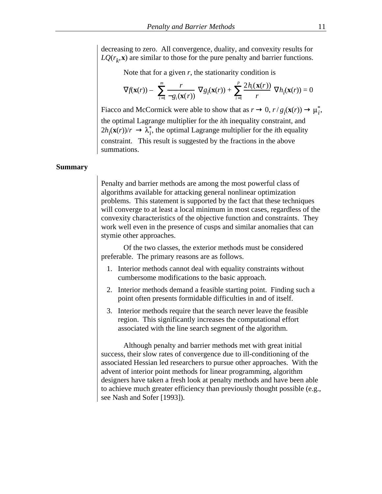decreasing to zero. All convergence, duality, and convexity results for  $LQ(r_k, \mathbf{x})$  are similar to those for the pure penalty and barrier functions.

Note that for a given  $r$ , the stationarity condition is

$$
f(\mathbf{x}(r)) - \sum_{i=1}^{m} \frac{r}{-\mathcal{G}_i(\mathbf{x}(r))} \quad \mathcal{G}_i(\mathbf{x}(r)) + \sum_{i=1}^{p} \frac{2h_i(\mathbf{x}(r))}{r} \quad h_i(\mathbf{x}(r)) = 0
$$

Fiacco and McCormick were able to show that as *r*  $(0, r/g(x(r)))$ *i* , the optimal Lagrange multiplier for the *i*th inequality constraint, and  $2h_i(\mathbf{x}(r))/r$  $i<sub>i</sub>$ , the optimal Lagrange multiplier for the *i*th equality constraint. This result is suggested by the fractions in the above summations.

#### **Summary**

Penalty and barrier methods are among the most powerful class of algorithms available for attacking general nonlinear optimization problems. This statement is supported by the fact that these techniques will converge to at least a local minimum in most cases, regardless of the convexity characteristics of the objective function and constraints. They work well even in the presence of cusps and similar anomalies that can stymie other approaches.

Of the two classes, the exterior methods must be considered preferable. The primary reasons are as follows.

- 1. Interior methods cannot deal with equality constraints without cumbersome modifications to the basic approach.
- 2. Interior methods demand a feasible starting point. Finding such a point often presents formidable difficulties in and of itself.
- 3. Interior methods require that the search never leave the feasible region. This significantly increases the computational effort associated with the line search segment of the algorithm.

Although penalty and barrier methods met with great initial success, their slow rates of convergence due to ill-conditioning of the associated Hessian led researchers to pursue other approaches. With the advent of interior point methods for linear programming, algorithm designers have taken a fresh look at penalty methods and have been able to achieve much greater efficiency than previously thought possible (e.g., see Nash and Sofer [1993]).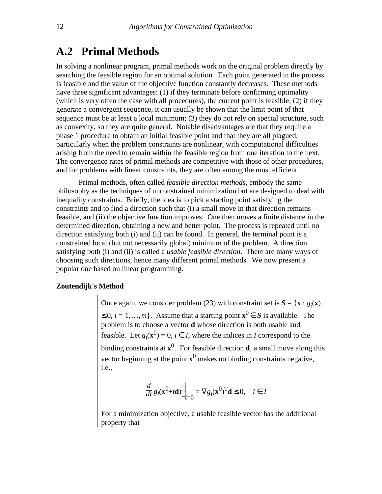### **A.2 Primal Methods**

In solving a nonlinear program, primal methods work on the original problem directly by searching the feasible region for an optimal solution. Each point generated in the process is feasible and the value of the objective function constantly decreases. These methods have three significant advantages: (1) if they terminate before confirming optimality (which is very often the case with all procedures), the current point is feasible; (2) if they generate a convergent sequence, it can usually be shown that the limit point of that sequence must be at least a local minimum; (3) they do not rely on special structure, such as convexity, so they are quite general. Notable disadvantages are that they require a phase 1 procedure to obtain an initial feasible point and that they are all plagued, particularly when the problem constraints are nonlinear, with computational difficulties arising from the need to remain within the feasible region from one iteration to the next. The convergence rates of primal methods are competitive with those of other procedures, and for problems with linear constraints, they are often among the most efficient.

Primal methods, often called *feasible direction methods*, embody the same philosophy as the techniques of unconstrained minimization but are designed to deal with inequality constraints. Briefly, the idea is to pick a starting point satisfying the constraints and to find a direction such that (i) a small move in that direction remains feasible, and (ii) the objective function improves. One then moves a finite distance in the determined direction, obtaining a new and better point. The process is repeated until no direction satisfying both (i) and (ii) can be found. In general, the terminal point is a constrained local (but not necessarily global) minimum of the problem. A direction satisfying both (i) and (ii) is called a *usable feasible direction*. There are many ways of choosing such directions, hence many different primal methods. We now present a popular one based on linear programming.

#### **Zoutendijk's Method**

Once again, we consider problem (23) with constraint set is  $S = {\mathbf{x} : g_i(\mathbf{x})}$ 0,  $i = 1, \ldots, m$ . Assume that a starting point  $\mathbf{x}^0$  *S* is available. The problem is to choose a vector **d** whose direction is both usable and feasible. Let  $g_i(\mathbf{x}^0) = 0$ , *i I*, where the indices in *I* correspond to the binding constraints at **x** 0 . For feasible direction **d**, a small move along this vector beginning at the point **x** 0 makes no binding constraints negative, i.e.,

$$
\frac{d}{dt} g_i(\mathbf{x}^0 + t\mathbf{d}) \Big|_{t=0} = g_i(\mathbf{x}^0)^T \mathbf{d} \quad 0, \quad i \quad I
$$

For a minimization objective, a usable feasible vector has the additional property that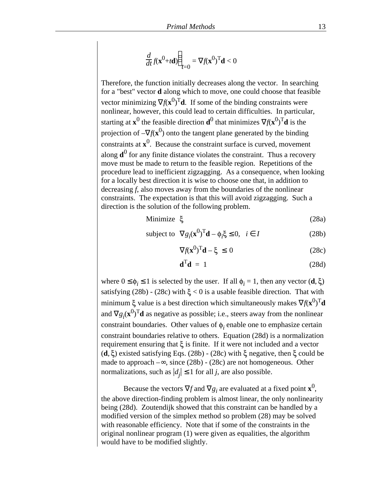$$
\frac{d}{dt}f(\mathbf{x}^0+t\mathbf{d})\Big|_{t=0} = f(\mathbf{x}^0)^{\mathrm{T}}\mathbf{d} < 0
$$

Therefore, the function initially decreases along the vector. In searching for a "best" vector **d** along which to move, one could choose that feasible vector minimizing  $f(\mathbf{x}^0)^\mathrm{T} \mathbf{d}$ . If some of the binding constraints were nonlinear, however, this could lead to certain difficulties. In particular, starting at  $\mathbf{x}^0$  the feasible direction  $\mathbf{d}^0$  that minimizes  $f(\mathbf{x}^0)^\text{T} \mathbf{d}$  is the projection of  $- f(x^0)$  onto the tangent plane generated by the binding constraints at **x** 0 . Because the constraint surface is curved, movement along **d**<sup>0</sup> for any finite distance violates the constraint. Thus a recovery move must be made to return to the feasible region. Repetitions of the procedure lead to inefficient zigzagging. As a consequence, when looking for a locally best direction it is wise to choose one that, in addition to decreasing *f*, also moves away from the boundaries of the nonlinear constraints. The expectation is that this will avoid zigzagging. Such a direction is the solution of the following problem.

Minimize 
$$
\xi
$$
 (28a)

subject to 
$$
g_i(\mathbf{x}^0)^T \mathbf{d} - \phi_i \xi = 0, \quad i \quad I
$$
 (28b)

$$
f(\mathbf{x}^0)^T \mathbf{d} - \xi \qquad 0 \tag{28c}
$$

$$
\mathbf{d}^{\mathrm{T}}\mathbf{d} = 1 \tag{28d}
$$

where  $0 \quad \phi_i \quad 1$  is selected by the user. If all  $\phi_i = 1$ , then any vector  $(d, \xi)$ satisfying (28b) - (28c) with  $\xi$  < 0 is a usable feasible direction. That with minimum  $\xi$  value is a best direction which simultaneously makes  $f(\mathbf{x}^0)^\mathrm{T} \mathbf{d}$ and  $g_i(\mathbf{x}^0)^\mathrm{T} \mathbf{d}$  as negative as possible; i.e., steers away from the nonlinear constraint boundaries. Other values of  $\phi_i$  enable one to emphasize certain constraint boundaries relative to others. Equation (28d) is a normalization requirement ensuring that  $\xi$  is finite. If it were not included and a vector  $(d, \xi)$  existed satisfying Eqs. (28b) - (28c) with  $\xi$  negative, then  $\xi$  could be made to approach – , since (28b) - (28c) are not homogeneous. Other normalizations, such as  $|d_j|$  1 for all *j*, are also possible.

Because the vectors  $f$  and  $g_i$  are evaluated at a fixed point  $\mathbf{x}^0$ , the above direction-finding problem is almost linear, the only nonlinearity being (28d). Zoutendijk showed that this constraint can be handled by a modified version of the simplex method so problem (28) may be solved with reasonable efficiency. Note that if some of the constraints in the original nonlinear program (1) were given as equalities, the algorithm would have to be modified slightly.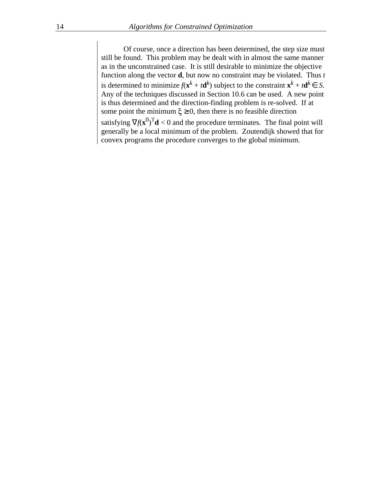Of course, once a direction has been determined, the step size must still be found. This problem may be dealt with in almost the same manner as in the unconstrained case. It is still desirable to minimize the objective function along the vector **d**, but now no constraint may be violated. Thus *t* is determined to minimize  $f(\mathbf{x}^k + t\mathbf{d}^k)$  subject to the constraint  $\mathbf{x}^k + t\mathbf{d}^k$  *S*. Any of the techniques discussed in Section 10.6 can be used. A new point is thus determined and the direction-finding problem is re-solved. If at some point the minimum  $\xi = 0$ , then there is no feasible direction satisfying  $f(\mathbf{x}^0)^\mathrm{T} \mathbf{d} < 0$  and the procedure terminates. The final point will generally be a local minimum of the problem. Zoutendijk showed that for convex programs the procedure converges to the global minimum.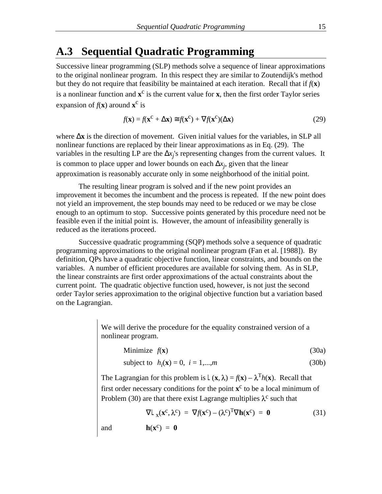### **A.3 Sequential Quadratic Programming**

Successive linear programming (SLP) methods solve a sequence of linear approximations to the original nonlinear program. In this respect they are similar to Zoutendijk's method but they do not require that feasibility be maintained at each iteration. Recall that if  $f(x)$ is a nonlinear function and  $x^c$  is the current value for x, then the first order Taylor series expansion of  $f(\mathbf{x})$  around  $\mathbf{x}^c$  is

$$
f(\mathbf{x}) = f(\mathbf{x}^{\mathcal{C}} + \mathbf{x}) \quad f(\mathbf{x}^{\mathcal{C}}) + f(\mathbf{x}^{\mathcal{C}}) \quad \mathbf{x}) \tag{29}
$$

where **x** is the direction of movement. Given initial values for the variables, in SLP all nonlinear functions are replaced by their linear approximations as in Eq. (29). The variables in the resulting LP are the  $x_j$ 's representing changes from the current values. It is common to place upper and lower bounds on each  $x_j$ , given that the linear approximation is reasonably accurate only in some neighborhood of the initial point.

The resulting linear program is solved and if the new point provides an improvement it becomes the incumbent and the process is repeated. If the new point does not yield an improvement, the step bounds may need to be reduced or we may be close enough to an optimum to stop. Successive points generated by this procedure need not be feasible even if the initial point is. However, the amount of infeasibility generally is reduced as the iterations proceed.

Successive quadratic programming (SQP) methods solve a sequence of quadratic programming approximations to the original nonlinear program (Fan et al. [1988]). By definition, QPs have a quadratic objective function, linear constraints, and bounds on the variables. A number of efficient procedures are available for solving them. As in SLP, the linear constraints are first order approximations of the actual constraints about the current point. The quadratic objective function used, however, is not just the second order Taylor series approximation to the original objective function but a variation based on the Lagrangian.

> We will derive the procedure for the equality constrained version of a nonlinear program.

Minimize 
$$
f(\mathbf{x})
$$
 (30a)

subject to 
$$
h_i(\mathbf{x}) = 0, \ i = 1,...,m
$$
 (30b)

The Lagrangian for this problem is  $\mathbf{L}(\mathbf{x}, \lambda) = f(\mathbf{x}) - \lambda^T h(\mathbf{x})$ . Recall that first order necessary conditions for the point  $x^c$  to be a local minimum of Problem (30) are that there exist Lagrange multiplies  $\lambda^c$  such that

$$
\mathbf{L}_{\mathbf{x}}(\mathbf{x}^{\mathbf{C}}, \lambda^{\mathbf{C}}) = f(\mathbf{x}^{\mathbf{C}}) - (\lambda^{\mathbf{C}})^{\mathbf{T}} \mathbf{h}(\mathbf{x}^{\mathbf{C}}) = \mathbf{0}
$$
 (31)

and  $h(x^c) = 0$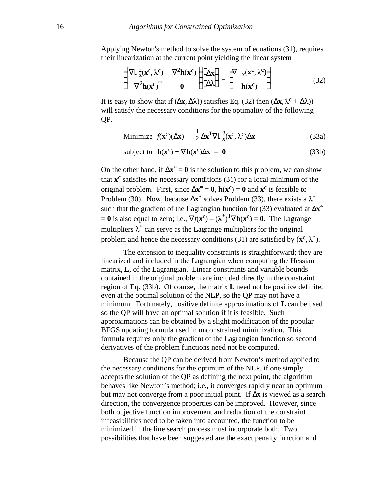Applying Newton's method to solve the system of equations (31), requires their linearization at the current point yielding the linear system

$$
\mathbf{L}_{\mathbf{x}}^2(\mathbf{x}^{\mathbf{C}}, \lambda^{\mathbf{C}}) - \frac{2}{\mathbf{h}}(\mathbf{x}^{\mathbf{C}}) \qquad \mathbf{x} = \mathbf{L}_{\mathbf{x}}(\mathbf{x}^{\mathbf{C}}, \lambda^{\mathbf{C}}) \n- \frac{2}{\mathbf{h}}(\mathbf{x}^{\mathbf{C}})^{\mathrm{T}} \qquad \mathbf{0} \qquad \lambda = \mathbf{h}(\mathbf{x}^{\mathbf{C}})
$$
\n(32)

It is easy to show that if  $(\mathbf{x}, \lambda)$  satisfies Eq. (32) then  $(\mathbf{x}, \lambda^c + \lambda)$ will satisfy the necessary conditions for the optimality of the following QP.

Minimize 
$$
f(\mathbf{x}^c)(\mathbf{x}) + \frac{1}{2} \mathbf{x}^T \mathbf{L}_x^2(\mathbf{x}^c, \lambda^c) \mathbf{x}
$$
 (33a)

subject to 
$$
\mathbf{h}(\mathbf{x}^c) + \mathbf{h}(\mathbf{x}^c) \mathbf{x} = \mathbf{0}
$$
 (33b)

On the other hand, if  $\mathbf{x}^* = \mathbf{0}$  is the solution to this problem, we can show that **x** c satisfies the necessary conditions (31) for a local minimum of the original problem. First, since  $\mathbf{x}^* = \mathbf{0}$ ,  $\mathbf{h}(\mathbf{x}^c) = \mathbf{0}$  and  $\mathbf{x}^c$  is feasible to Problem (30). Now, because  $\mathbf{x}^*$  solves Problem (33), there exists a  $\lambda^*$ such that the gradient of the Lagrangian function for (33) evaluated at **x**\*  $= 0$  is also equal to zero; i.e.,  $f(\mathbf{x}^c) - (\lambda^*)^T$  **h**( $\mathbf{x}^c$ ) = 0. The Lagrange multipliers  $\lambda^*$  can serve as the Lagrange multipliers for the original problem and hence the necessary conditions (31) are satisfied by  $(\mathbf{x}^c, \lambda^*)$ .

The extension to inequality constraints is straightforward; they are linearized and included in the Lagrangian when computing the Hessian matrix, **L**, of the Lagrangian. Linear constraints and variable bounds contained in the original problem are included directly in the constraint region of Eq. (33b). Of course, the matrix **L** need not be positive definite, even at the optimal solution of the NLP, so the QP may not have a minimum. Fortunately, positive definite approximations of **L** can be used so the QP will have an optimal solution if it is feasible. Such approximations can be obtained by a slight modification of the popular BFGS updating formula used in unconstrained minimization. This formula requires only the gradient of the Lagrangian function so second derivatives of the problem functions need not be computed.

Because the QP can be derived from Newton's method applied to the necessary conditions for the optimum of the NLP, if one simply accepts the solution of the QP as defining the next point, the algorithm behaves like Newton's method; i.e., it converges rapidly near an optimum but may not converge from a poor initial point. If **x** is viewed as a search direction, the convergence properties can be improved. However, since both objective function improvement and reduction of the constraint infeasibilities need to be taken into accounted, the function to be minimized in the line search process must incorporate both. Two possibilities that have been suggested are the exact penalty function and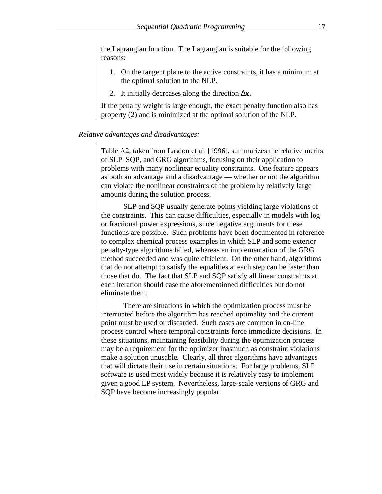the Lagrangian function. The Lagrangian is suitable for the following reasons:

- 1. On the tangent plane to the active constraints, it has a minimum at the optimal solution to the NLP.
- 2. It initially decreases along the direction **x**.

If the penalty weight is large enough, the exact penalty function also has property (2) and is minimized at the optimal solution of the NLP.

#### *Relative advantages and disadvantages:*

Table A2, taken from Lasdon et al. [1996], summarizes the relative merits of SLP, SQP, and GRG algorithms, focusing on their application to problems with many nonlinear equality constraints. One feature appears as both an advantage and a disadvantage –– whether or not the algorithm can violate the nonlinear constraints of the problem by relatively large amounts during the solution process.

SLP and SQP usually generate points yielding large violations of the constraints. This can cause difficulties, especially in models with log or fractional power expressions, since negative arguments for these functions are possible. Such problems have been documented in reference to complex chemical process examples in which SLP and some exterior penalty-type algorithms failed, whereas an implementation of the GRG method succeeded and was quite efficient. On the other hand, algorithms that do not attempt to satisfy the equalities at each step can be faster than those that do. The fact that SLP and SQP satisfy all linear constraints at each iteration should ease the aforementioned difficulties but do not eliminate them.

There are situations in which the optimization process must be interrupted before the algorithm has reached optimality and the current point must be used or discarded. Such cases are common in on-line process control where temporal constraints force immediate decisions. In these situations, maintaining feasibility during the optimization process may be a requirement for the optimizer inasmuch as constraint violations make a solution unusable. Clearly, all three algorithms have advantages that will dictate their use in certain situations. For large problems, SLP software is used most widely because it is relatively easy to implement given a good LP system. Nevertheless, large-scale versions of GRG and SQP have become increasingly popular.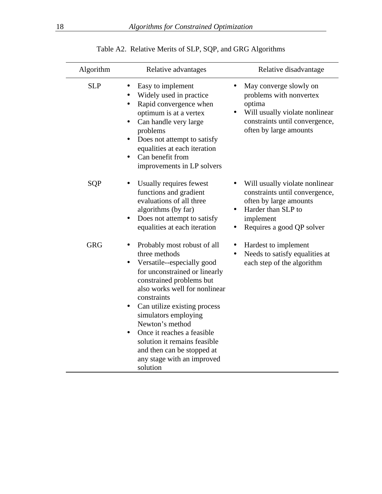| Algorithm  | Relative advantages                                                                                                                                                                                                                                                                                                                                                                                                                                  | Relative disadvantage                                                                                                                                      |  |  |
|------------|------------------------------------------------------------------------------------------------------------------------------------------------------------------------------------------------------------------------------------------------------------------------------------------------------------------------------------------------------------------------------------------------------------------------------------------------------|------------------------------------------------------------------------------------------------------------------------------------------------------------|--|--|
| <b>SLP</b> | Easy to implement<br>Widely used in practice<br>Rapid convergence when<br>$\bullet$<br>optimum is at a vertex<br>Can handle very large<br>problems<br>Does not attempt to satisfy<br>equalities at each iteration<br>Can benefit from<br>improvements in LP solvers                                                                                                                                                                                  | May converge slowly on<br>problems with nonvertex<br>optima<br>Will usually violate nonlinear<br>constraints until convergence,<br>often by large amounts  |  |  |
| SQP        | Usually requires fewest<br>functions and gradient<br>evaluations of all three<br>algorithms (by far)<br>Does not attempt to satisfy<br>equalities at each iteration                                                                                                                                                                                                                                                                                  | Will usually violate nonlinear<br>constraints until convergence,<br>often by large amounts<br>Harder than SLP to<br>implement<br>Requires a good QP solver |  |  |
| <b>GRG</b> | Probably most robust of all<br>$\bullet$<br>three methods<br>Versatile--especially good<br>$\bullet$<br>for unconstrained or linearly<br>constrained problems but<br>also works well for nonlinear<br>constraints<br>Can utilize existing process<br>٠<br>simulators employing<br>Newton's method<br>Once it reaches a feasible<br>$\bullet$<br>solution it remains feasible<br>and then can be stopped at<br>any stage with an improved<br>solution | Hardest to implement<br>$\bullet$<br>Needs to satisfy equalities at<br>each step of the algorithm                                                          |  |  |

|  |  |  |  |  |  | Table A2. Relative Merits of SLP, SQP, and GRG Algorithms |
|--|--|--|--|--|--|-----------------------------------------------------------|
|--|--|--|--|--|--|-----------------------------------------------------------|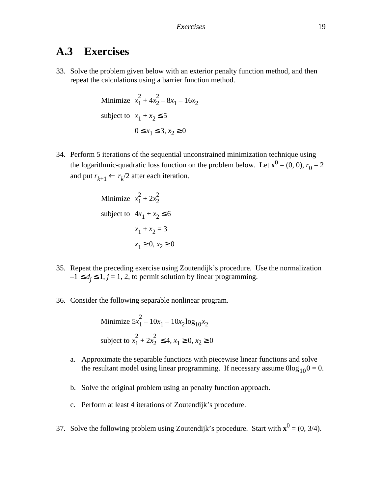### **A.3 Exercises**

33. Solve the problem given below with an exterior penalty function method, and then repeat the calculations using a barrier function method.

Minimize 
$$
x_1^2 + 4x_2^2 - 8x_1 - 16x_2
$$
  
subject to  $x_1 + x_2 = 5$   
 $0 \quad x_1 = 3, x_2 = 0$ 

34. Perform 5 iterations of the sequential unconstrained minimization technique using the logarithmic-quadratic loss function on the problem below. Let  $\mathbf{x}^0 = (0, 0)$ ,  $r_0 = 2$ and put  $r_{k+1}$  *r k* /2 after each iteration.

Minimize 
$$
x_1^2 + 2x_2^2
$$
  
subject to  $4x_1 + x_2$  6  
 $x_1 + x_2 = 3$   
 $x_1$  0,  $x_2$  0

- 35. Repeat the preceding exercise using Zoutendijk's procedure. Use the normalization  $-1$  *d<sub>j</sub>* 1, *j* = 1, 2, to permit solution by linear programming.
- 36. Consider the following separable nonlinear program.

Minimize 
$$
5x_1^2 - 10x_1 - 10x_2 \log_{10} x_2
$$
  
subject to  $x_1^2 + 2x_2^2 - 4, x_1 - 0, x_2 = 0$ 

- a. Approximate the separable functions with piecewise linear functions and solve the resultant model using linear programming. If necessary assume  $0\log_{10}0 = 0$ .
- b. Solve the original problem using an penalty function approach.
- c. Perform at least 4 iterations of Zoutendijk's procedure.
- 37. Solve the following problem using Zoutendijk's procedure. Start with  $\mathbf{x}^0 = (0, 3/4)$ .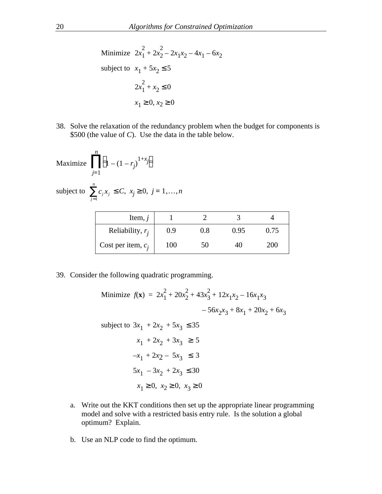Minimize  $2x_1^2$  $\frac{2}{1} + 2x_2^2$  $\frac{2}{2} - 2x_1x_2 - 4x_1 - 6x_2$ subject to  $x_1 + 5x_2$  5  $2x_1^2$  $\frac{1}{1} + x_2 = 0$  $x_1$  0,  $x_2$  0

38. Solve the relaxation of the redundancy problem when the budget for components is \$500 (the value of *C*). Use the data in the table below.

$$
\text{Maximize} \quad \begin{array}{c} n \\ 1 - (1 - r_j)^{1 + x_j} \end{array}
$$

*j* =1

*n*

subject to  $c_j x_j$ 

 $C, x_j \neq 0, j = 1, \ldots, n$ 

| Item, $j$            |     |     |      |      |
|----------------------|-----|-----|------|------|
| Reliability, $r_i$   | 0.9 | 0.8 | 0.95 | 0.75 |
| Cost per item, $c_i$ | 100 | 50  | 4O   | 200  |

39. Consider the following quadratic programming.

Minimize 
$$
f(\mathbf{x}) = 2x_1^2 + 20x_2^2 + 43x_3^2 + 12x_1x_2 - 16x_1x_3
$$
  
\n $-56x_2x_3 + 8x_1 + 20x_2 + 6x_3$   
\nsubject to  $3x_1 + 2x_2 + 5x_3$  35  
\n $x_1 + 2x_2 + 3x_3$  5  
\n $-x_1 + 2x_2 - 5x_3$  3  
\n $5x_1 - 3x_2 + 2x_3$  30  
\n $x_1$  0,  $x_2$  0,  $x_3$  0

- a. Write out the KKT conditions then set up the appropriate linear programming model and solve with a restricted basis entry rule. Is the solution a global optimum? Explain.
- b. Use an NLP code to find the optimum.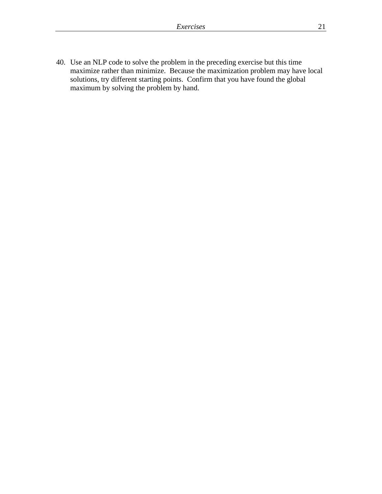40. Use an NLP code to solve the problem in the preceding exercise but this time maximize rather than minimize. Because the maximization problem may have local solutions, try different starting points. Confirm that you have found the global maximum by solving the problem by hand.